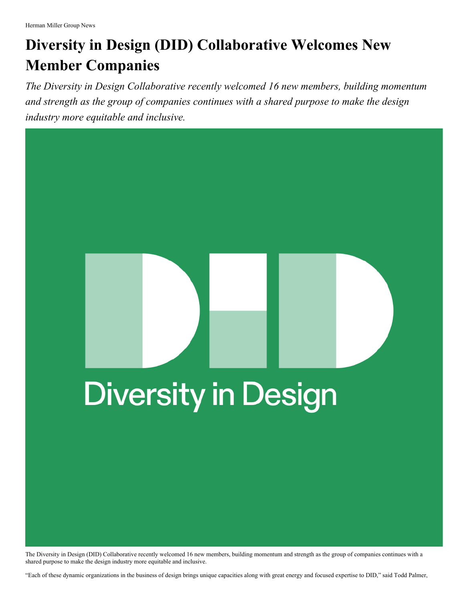## **Diversity in Design (DID) Collaborative Welcomes New Member Companies**

*The Diversity in Design Collaborative recently welcomed 16 new members, building momentum and strength as the group of companies continues with a shared purpose to make the design industry more equitable and inclusive.*

## **Diversity in Design**

The Diversity in Design (DID) Collaborative recently welcomed 16 new members, building momentum and strength as the group of companies continues with a shared purpose to make the design industry more equitable and inclusive.

"Each of these dynamic organizations in the business of design brings unique capacities along with great energy and focused expertise to DID," said Todd Palmer,